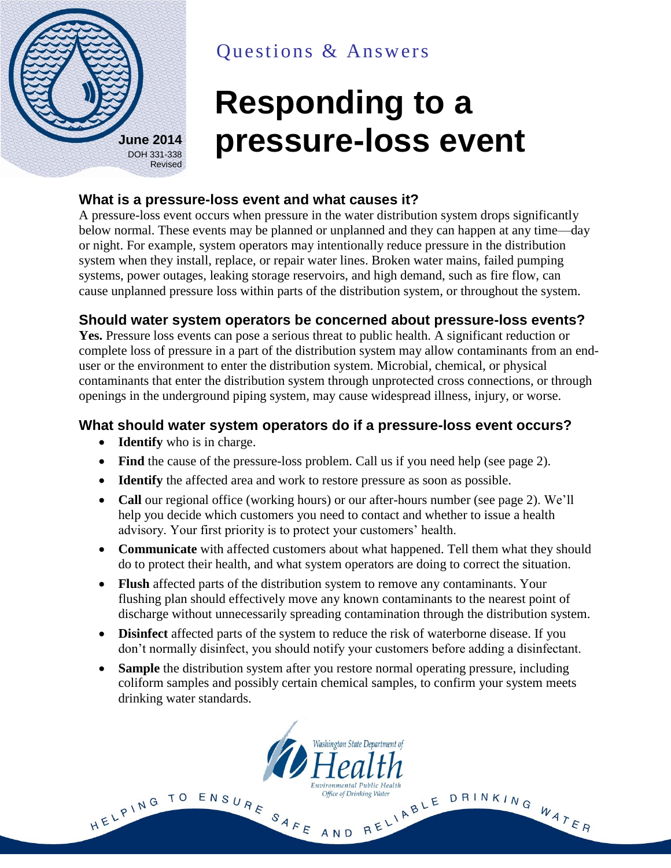

# Questions & Answers

# **Responding to a pressure-loss event**

#### **What is a pressure-loss event and what causes it?**

A pressure-loss event occurs when pressure in the water distribution system drops significantly below normal. These events may be planned or unplanned and they can happen at any time—day or night. For example, system operators may intentionally reduce pressure in the distribution system when they install, replace, or repair water lines. Broken water mains, failed pumping systems, power outages, leaking storage reservoirs, and high demand, such as fire flow, can cause unplanned pressure loss within parts of the distribution system, or throughout the system.

# **Should water system operators be concerned about pressure-loss events?**

**Yes.** Pressure loss events can pose a serious threat to public health. A significant reduction or complete loss of pressure in a part of the distribution system may allow contaminants from an enduser or the environment to enter the distribution system. Microbial, chemical, or physical contaminants that enter the distribution system through unprotected cross connections, or through openings in the underground piping system, may cause widespread illness, injury, or worse.

# **What should water system operators do if a pressure-loss event occurs?**

- **Identify** who is in charge.
- Find the cause of the pressure-loss problem. Call us if you need help (see page 2).
- **Identify** the affected area and work to restore pressure as soon as possible.
- **Call** our regional office (working hours) or our after-hours number (see page 2). We'll help you decide which customers you need to contact and whether to issue a health advisory. Your first priority is to protect your customers' health.
- **Communicate** with affected customers about what happened. Tell them what they should do to protect their health, and what system operators are doing to correct the situation.
- **Flush** affected parts of the distribution system to remove any contaminants. Your flushing plan should effectively move any known contaminants to the nearest point of discharge without unnecessarily spreading contamination through the distribution system.
- **Disinfect** affected parts of the system to reduce the risk of waterborne disease. If you don't normally disinfect, you should notify your customers before adding a disinfectant.
- **Sample** the distribution system after you restore normal operating pressure, including coliform samples and possibly certain chemical samples, to confirm your system meets drinking water standards.

Washington State Department of

**Environmental Public Health** 

Office of Drinking Water

HELPING TO ENSURE SAFE AND RELIABLE DRINKING WATER